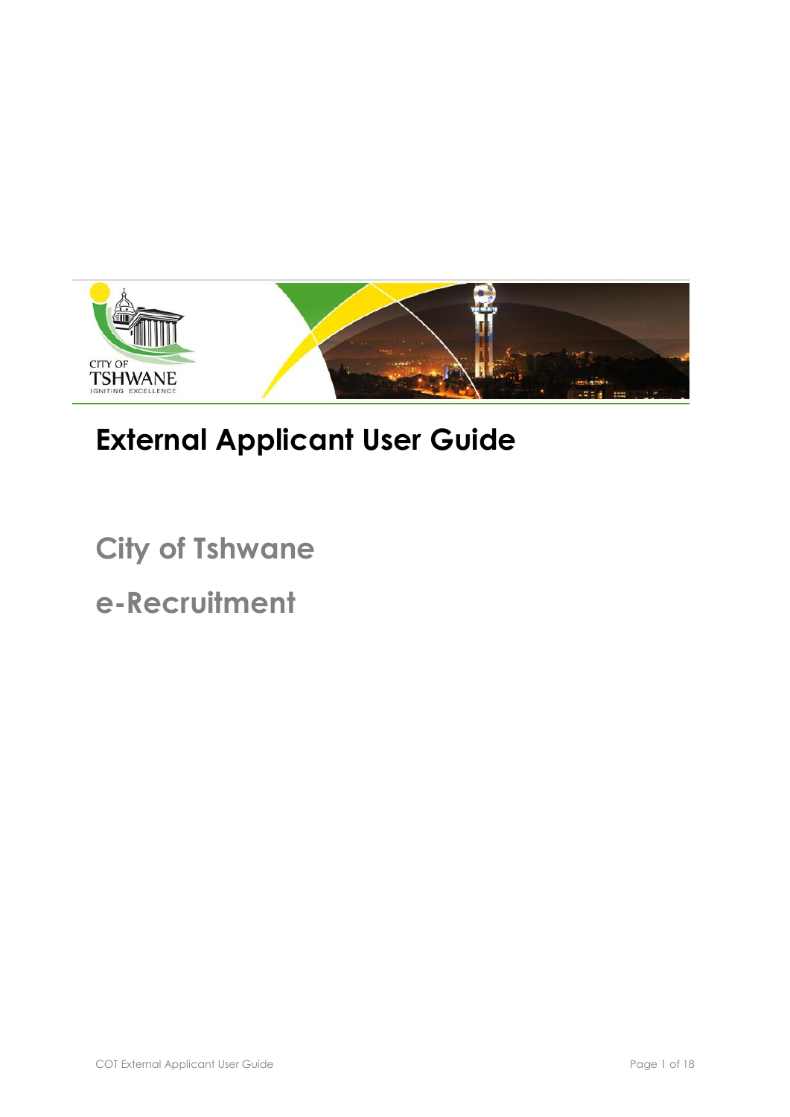

# **External Applicant User Guide**

**City of Tshwane**

**e-Recruitment**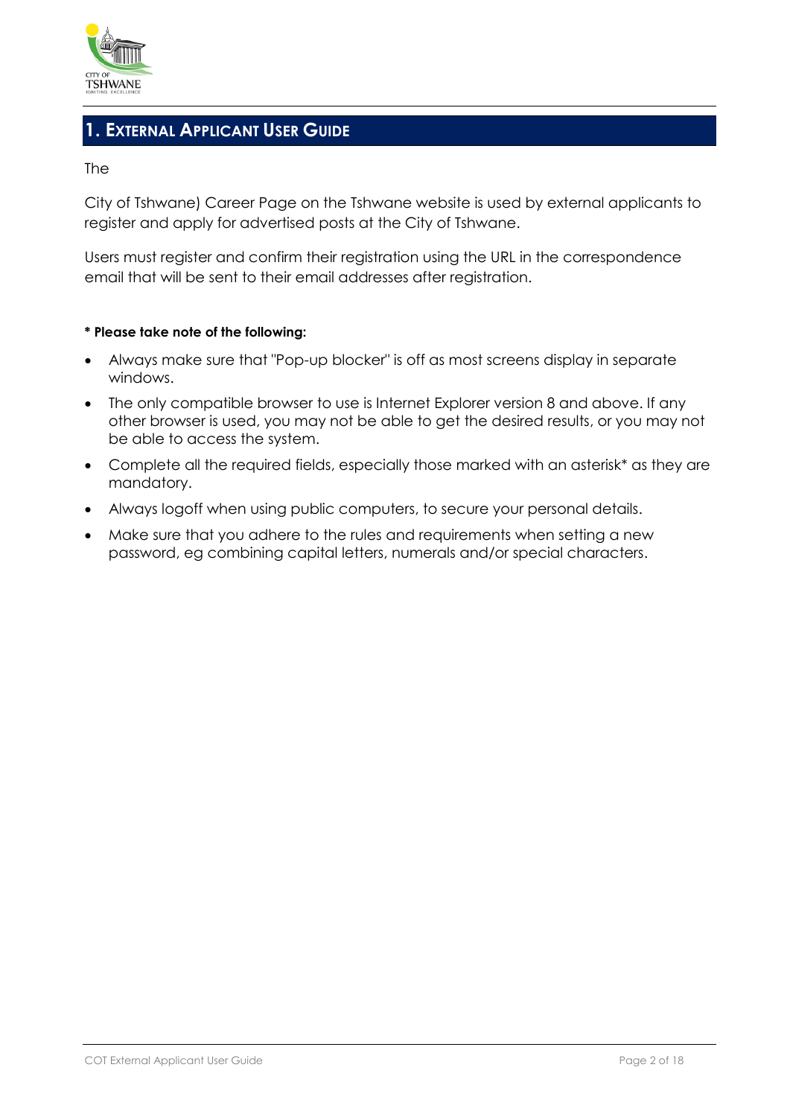

# **1. EXTERNAL APPLICANT USER GUIDE**

### The

City of Tshwane) Career Page on the Tshwane website is used by external applicants to register and apply for advertised posts at the City of Tshwane.

Users must register and confirm their registration using the URL in the correspondence email that will be sent to their email addresses after registration.

### **\* Please take note of the following:**

- Always make sure that "Pop-up blocker" is off as most screens display in separate windows.
- The only compatible browser to use is Internet Explorer version 8 and above. If any other browser is used, you may not be able to get the desired results, or you may not be able to access the system.
- Complete all the required fields, especially those marked with an asterisk\* as they are mandatory.
- Always logoff when using public computers, to secure your personal details.
- Make sure that you adhere to the rules and requirements when setting a new password, eg combining capital letters, numerals and/or special characters.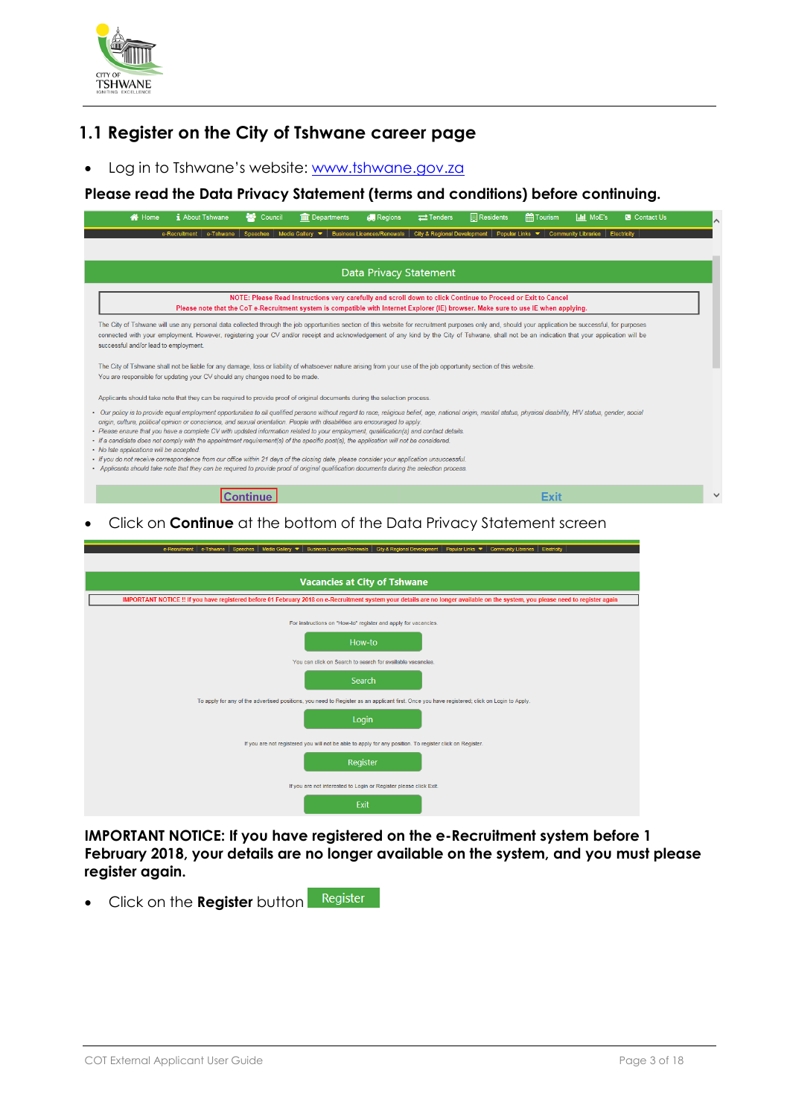

### **1.1 Register on the City of Tshwane career page**

Log in to Tshwane's website: [www.tshwane.gov.za](http://www.tshwane.gov.za/)

### **Please read the Data Privacy Statement (terms and conditions) before continuing.**

| <b>谷</b> Home<br><i>i</i> About Tshwane                                      | se i<br>Council<br><b>THE</b> Departments                                                                                                                                                                                                                                                                                                                                                                                                                                                                                                                                                                                            | <b>Regions</b><br>$\overrightarrow{=}$ Tenders                              | <b>Residents</b> | <b>Hill</b> Tourism<br><b>III</b> MoE's       | <b>G</b> Contact Us |              |
|------------------------------------------------------------------------------|--------------------------------------------------------------------------------------------------------------------------------------------------------------------------------------------------------------------------------------------------------------------------------------------------------------------------------------------------------------------------------------------------------------------------------------------------------------------------------------------------------------------------------------------------------------------------------------------------------------------------------------|-----------------------------------------------------------------------------|------------------|-----------------------------------------------|---------------------|--------------|
| e-Recruitment<br>e-Tshwane                                                   | <b>Speeches</b><br>Media Gallery $\bullet$                                                                                                                                                                                                                                                                                                                                                                                                                                                                                                                                                                                           | <b>City &amp; Regional Development</b><br><b>Business Licences/Renewals</b> |                  | Popular Links $\bullet$   Community Libraries | Electricity         |              |
|                                                                              |                                                                                                                                                                                                                                                                                                                                                                                                                                                                                                                                                                                                                                      |                                                                             |                  |                                               |                     |              |
|                                                                              |                                                                                                                                                                                                                                                                                                                                                                                                                                                                                                                                                                                                                                      | Data Privacy Statement                                                      |                  |                                               |                     |              |
|                                                                              | NOTE: Please Read Instructions very carefully and scroll down to click Continue to Proceed or Exit to Cancel<br>Please note that the CoT e-Recruitment system is compatible with Internet Explorer (IE) browser. Make sure to use IE when applying.                                                                                                                                                                                                                                                                                                                                                                                  |                                                                             |                  |                                               |                     |              |
| successful and/or lead to employment.                                        | The City of Tshwane will use any personal data collected through the job opportunities section of this website for recruitment purposes only and, should your application be successful, for purposes<br>connected with your employment. However, registering your CV and/or receipt and acknowledgement of any kind by the City of Tshwane, shall not be an indication that your application will be                                                                                                                                                                                                                                |                                                                             |                  |                                               |                     |              |
| You are responsible for updating your CV should any changes need to be made. | The City of Tshwane shall not be liable for any damage, loss or liability of whatsoever nature arising from your use of the job opportunity section of this website.                                                                                                                                                                                                                                                                                                                                                                                                                                                                 |                                                                             |                  |                                               |                     |              |
|                                                                              | Applicants should take note that they can be required to provide proof of original documents during the selection process.                                                                                                                                                                                                                                                                                                                                                                                                                                                                                                           |                                                                             |                  |                                               |                     |              |
| • No late applications will be accepted.                                     | · Our policy is to provide equal employment opportunities to all qualified persons without regard to race, religious belief, age, national origin, marital status, physical disability, HIV status, gender, social<br>origin, culture, political opinion or conscience, and sexual orientation. People with disabilities are encouraged to apply.<br>· Please ensure that you have a complete CV with updated information related to your employment, qualification(s) and contact details.<br>• If a candidate does not comply with the appointment requirement(s) of the specific post(s), the application will not be considered. |                                                                             |                  |                                               |                     |              |
|                                                                              | • If you do not receive correspondence from our office within 21 days of the closing date, please consider your application unsuccessful.<br>• Applicants should take note that they can be required to provide proof of original qualification documents during the selection process.                                                                                                                                                                                                                                                                                                                                              |                                                                             |                  |                                               |                     |              |
|                                                                              |                                                                                                                                                                                                                                                                                                                                                                                                                                                                                                                                                                                                                                      |                                                                             |                  | <b>Exit</b>                                   |                     | $\checkmark$ |

### Click on **Continue** at the bottom of the Data Privacy Statement screen

| e-Tshwane Speeches Media Gallery ♥ Business Licences/Renewals City & Regional Development Popular Links ♥ Community Libraries Electricity<br>e-Recruitment                      |
|---------------------------------------------------------------------------------------------------------------------------------------------------------------------------------|
|                                                                                                                                                                                 |
| <b>Vacancies at City of Tshwane</b>                                                                                                                                             |
| IMPORTANT NOTICE!! If you have registered before 01 February 2018 on e-Recruitment system your details are no longer available on the system, you please need to register again |
| For instructions on "How-to" register and apply for vacancies.                                                                                                                  |
| How-to                                                                                                                                                                          |
| You can click on Search to search for available vacancies.                                                                                                                      |
| Search                                                                                                                                                                          |
| To apply for any of the advertised positions, you need to Register as an applicant first. Once you have registered; click on Login to Apply.                                    |
| Login                                                                                                                                                                           |
| If you are not registered you will not be able to apply for any position. To register click on Register.                                                                        |
| Register                                                                                                                                                                        |
| If you are not interested to Login or Register please click Exit.                                                                                                               |
| Exit                                                                                                                                                                            |

**IMPORTANT NOTICE: If you have registered on the e-Recruitment system before 1 February 2018, your details are no longer available on the system, and you must please register again.**

 Click on the **Register** button Register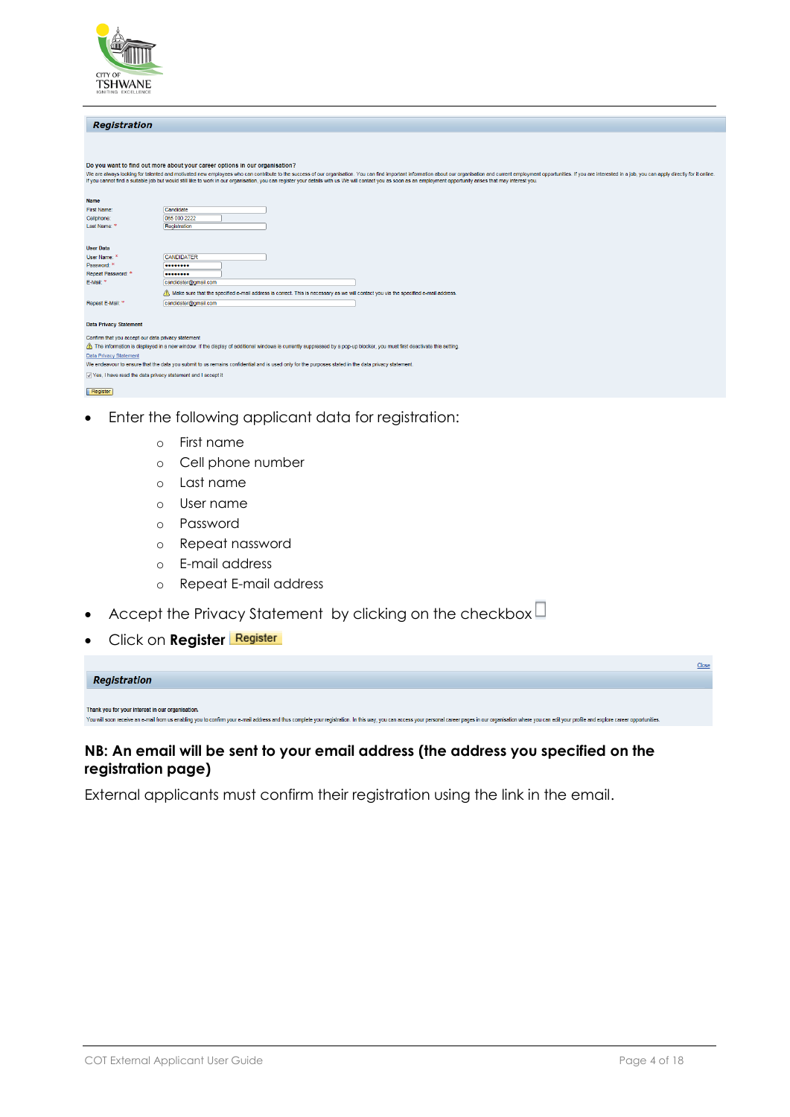

#### Registration

Do you want to find out more about your career options in our organisation?

We are always looking for talented and motivated new employees who can contribute to the success of our organisation. You can find important information about our organisation and current employment opportunities. If you a

| <b>Name</b>                                                 |                                                                                                                                                                         |
|-------------------------------------------------------------|-------------------------------------------------------------------------------------------------------------------------------------------------------------------------|
| First Name:                                                 | Candidate                                                                                                                                                               |
| Cellphone:                                                  | 065 000 2222                                                                                                                                                            |
| Last Name: *                                                | Registration                                                                                                                                                            |
|                                                             |                                                                                                                                                                         |
| <b>User Data</b>                                            |                                                                                                                                                                         |
|                                                             |                                                                                                                                                                         |
| User Name: *                                                | <b>CANDIDATER</b>                                                                                                                                                       |
| Password: *                                                 | --------                                                                                                                                                                |
| Repeat Password: *                                          | --------                                                                                                                                                                |
| F-Mail: *                                                   | candidater@gmail.com                                                                                                                                                    |
|                                                             | Make sure that the specified e-mail address is correct. This is necessary as we will contact you via the specified e-mail address.                                      |
| Repeat E-Mail: *                                            | candidater@gmail.com                                                                                                                                                    |
|                                                             |                                                                                                                                                                         |
| <b>Data Privacy Statement</b>                               |                                                                                                                                                                         |
|                                                             |                                                                                                                                                                         |
| Confirm that you accept our data privacy statement          |                                                                                                                                                                         |
|                                                             | The information is displayed in a new window. If the display of additional windows is currently suppressed by a pop-up blocker, you must first deactivate this setting. |
| <b>Data Privacy Statement</b>                               |                                                                                                                                                                         |
|                                                             | We endeavour to ensure that the data you submit to us remains confidential and is used only for the purposes stated in the data privacy statement.                      |
| Ves, I have read the data privacy statement and I accept it |                                                                                                                                                                         |

#### Register

- Enter the following applicant data for registration:
	- o First name
	- o Cell phone number
	- o Last name
	- o User name
	- o Password
	- o Repeat nassword
	- o E-mail address
	- o Repeat E-mail address
- Accept the Privacy Statement by clicking on the checkbox  $\Box$
- Click on **Register**

|                                                                                                                                                                                                                                | Close |
|--------------------------------------------------------------------------------------------------------------------------------------------------------------------------------------------------------------------------------|-------|
| Registration                                                                                                                                                                                                                   |       |
|                                                                                                                                                                                                                                |       |
| Thank you for your interest in our organisation.                                                                                                                                                                               |       |
| You will soon receive an e-mail from us enabling you to confirm your e-mail address and thus complete your registration. In this way, you can access your personal career pages in our organisation where you can edit your pr |       |

### **NB: An email will be sent to your email address (the address you specified on the registration page)**

External applicants must confirm their registration using the link in the email.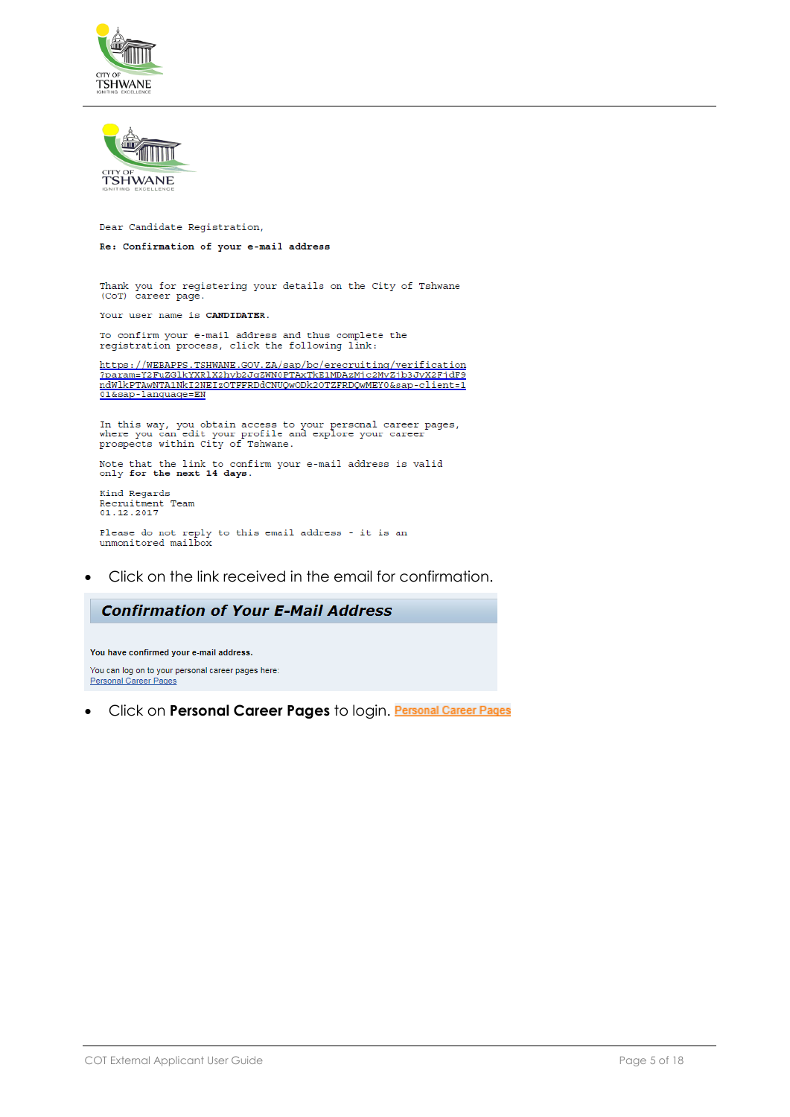



Dear Candidate Registration,

#### Re: Confirmation of your e-mail address

Thank you for registering your details on the City of Tshwane (CoT) career page.

Your user name is CANDIDATER.

To confirm your e-mail address and thus complete the<br>registration process, click the following link:

https://WEBAPPS.TSHWANE.GOV.ZA/sap/bc/erecruiting/verification ?param=Y2FuZGlkYXRlX2hyb2JqZWN0FTAxTkE1MDAzMjc2MyZjb3JyX2FjdF9<br>ndWlkPTAwNTA1NkI2NEIzOTFFRDdCNUQwODk2OTZFRDQwMEY0&sap-client=1<br>01&sap-lanquaqe=EN

In this way, you obtain access to your personal career pages,<br>where you can edit your profile and explore your career<br>prospects within City of Tshwane.

Note that the link to confirm your e-mail address is valid only for the next 14 days.

```
Kind Regards<br>Recruitment Team
01.12.2017
Please do not reply to this email address - it is an
```
# Click on the link received in the email for confirmation.

#### **Confirmation of Your E-Mail Address**

You have confirmed your e-mail address. You can log on to your personal career pages here: Personal Career Pages

unmonitored mailbox

**• Click on Personal Career Pages** to login. Personal Career Pages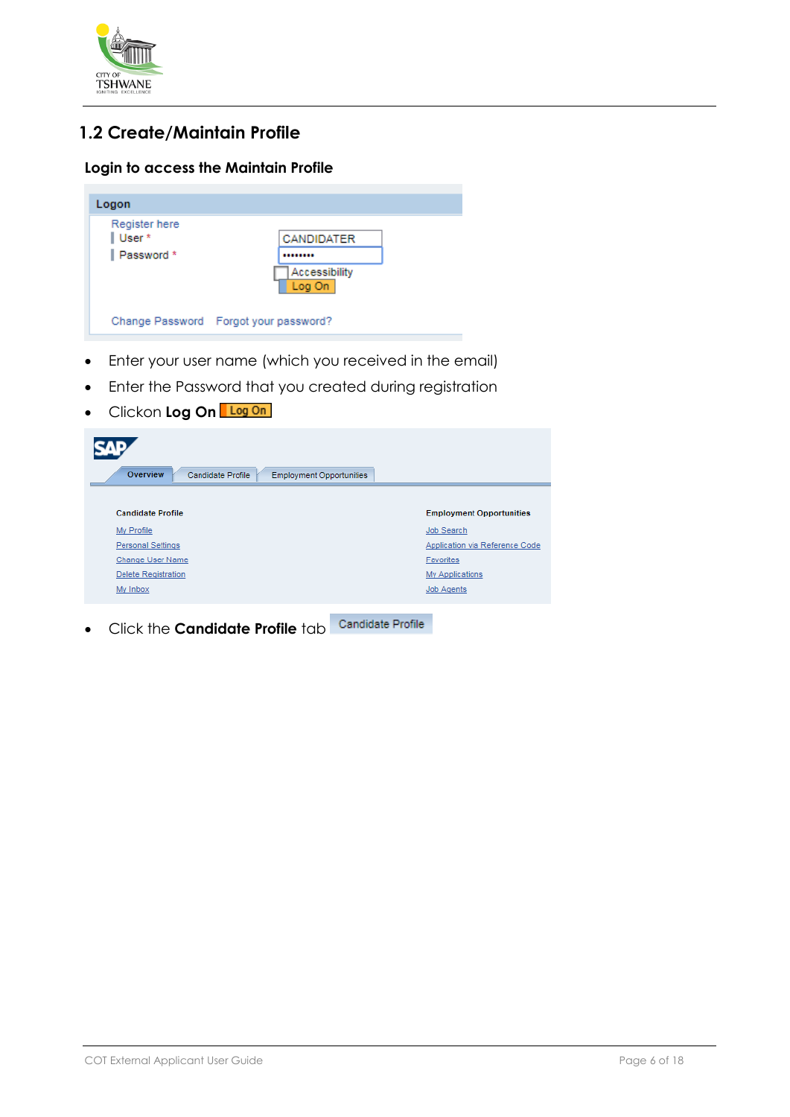

# **1.2 Create/Maintain Profile**

### **Login to access the Maintain Profile**

| Logon                                     |                                       |
|-------------------------------------------|---------------------------------------|
| Register here<br>User*<br>ı<br>Password * | CANDIDATER<br>                        |
|                                           | Accessibility<br>Log On               |
|                                           | Change Password Forgot your password? |

- Enter your user name (which you received in the email)
- Enter the Password that you created during registration
- **c** Clickon Log On Log On

| रा•<br>Overview<br><b>Candidate Profile</b><br><b>Employment Opportunities</b> |                                 |
|--------------------------------------------------------------------------------|---------------------------------|
|                                                                                |                                 |
| <b>Candidate Profile</b>                                                       | <b>Employment Opportunities</b> |
| My Profile                                                                     | Job Search                      |
| <b>Personal Settings</b>                                                       | Application via Reference Code  |
| Change User Name                                                               | Favorites                       |
| Delete Registration                                                            | My Applications                 |
| My Inbox                                                                       | <b>Job Agents</b>               |

**•** Click the **Candidate Profile** tab **Candidate Profile**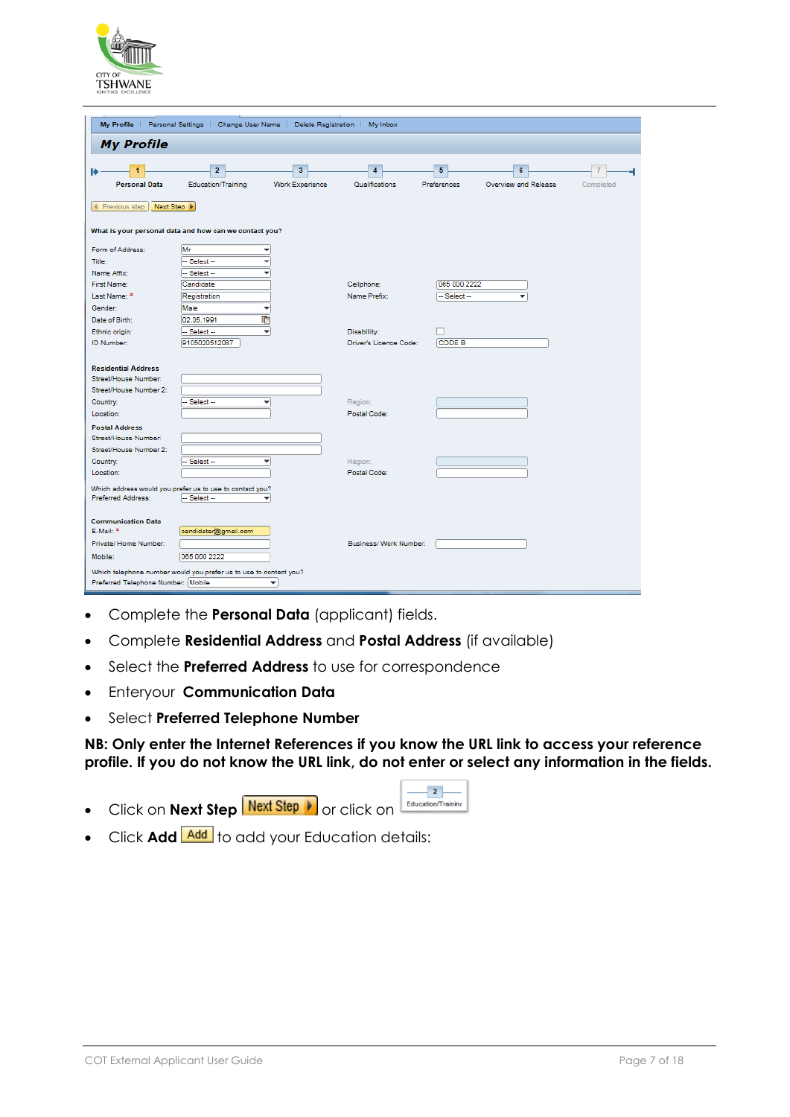

| <b>My Profile</b><br>$\overline{2}$<br>$\overline{\mathbf{3}}$<br>5<br>6<br>$\overline{4}$<br><b>Work Experience</b><br><b>Personal Data</b><br>Education/Training<br>Qualifications<br>Preferences<br>Overview and Release |           |
|-----------------------------------------------------------------------------------------------------------------------------------------------------------------------------------------------------------------------------|-----------|
|                                                                                                                                                                                                                             |           |
|                                                                                                                                                                                                                             | Completed |
| I Previous step<br>Next Step >                                                                                                                                                                                              |           |
| What is your personal data and how can we contact you?                                                                                                                                                                      |           |
| Form of Address:<br>Mr<br>$\overline{\phantom{a}}$                                                                                                                                                                          |           |
| Title:<br>- Select -<br>٠                                                                                                                                                                                                   |           |
| Name Affix:<br>$-$ Select $-$<br>٠                                                                                                                                                                                          |           |
| First Name:<br>Candidate<br>065 000 2222<br>Cellphone:                                                                                                                                                                      |           |
| Last Name: *<br>Name Prefix:<br>Registration<br>-- Select --<br>÷                                                                                                                                                           |           |
| Male<br>Gender:<br>٠                                                                                                                                                                                                        |           |
| 吶<br>Date of Birth:<br>02.05.1991                                                                                                                                                                                           |           |
| ٠<br>Ethnic origin:<br>-- Select --<br>Disablility:                                                                                                                                                                         |           |
| <b>CODE B</b><br>ID Number:<br>9105020512087<br>Driver's Licence Code:                                                                                                                                                      |           |
| <b>Residential Address</b><br>Street/House Number:<br>Street/House Number 2:                                                                                                                                                |           |
| Select-<br>Country:<br>Region:<br>٠                                                                                                                                                                                         |           |
| Postal Code:<br>Location:                                                                                                                                                                                                   |           |
|                                                                                                                                                                                                                             |           |
| <b>Postal Address</b><br>Street/House Number:                                                                                                                                                                               |           |
| Street/House Number 2:                                                                                                                                                                                                      |           |
| Country:<br>Select-<br>Region:<br>٠                                                                                                                                                                                         |           |
| Postal Code:<br>Location:                                                                                                                                                                                                   |           |
| Which address would you prefer us to use to contact you?<br>Preferred Address:<br>$-$ Select $-$<br>٠                                                                                                                       |           |
| <b>Communication Data</b>                                                                                                                                                                                                   |           |
| E-Mail: *<br>candidater@gmail.com                                                                                                                                                                                           |           |
| Private/ Home Number:<br>Business/ Work Number:                                                                                                                                                                             |           |
| 065 000 2222<br>Mobile:                                                                                                                                                                                                     |           |
| Which telephone number would you prefer us to use to contact you?                                                                                                                                                           |           |
| Preferred Telephone Number: Mobile<br>٠                                                                                                                                                                                     |           |

- Complete the **Personal Data** (applicant) fields.
- Complete **Residential Address** and **Postal Address** (if available)
- **Select the Preferred Address** to use for correspondence
- Enteryour **Communication Data**
- Select **Preferred Telephone Number**

### **NB: Only enter the Internet References if you know the URL link to access your reference profile. If you do not know the URL link, do not enter or select any information in the fields.**

Click on **Next Step Next Step o**r click on



Click **Add** Add to add your Education details: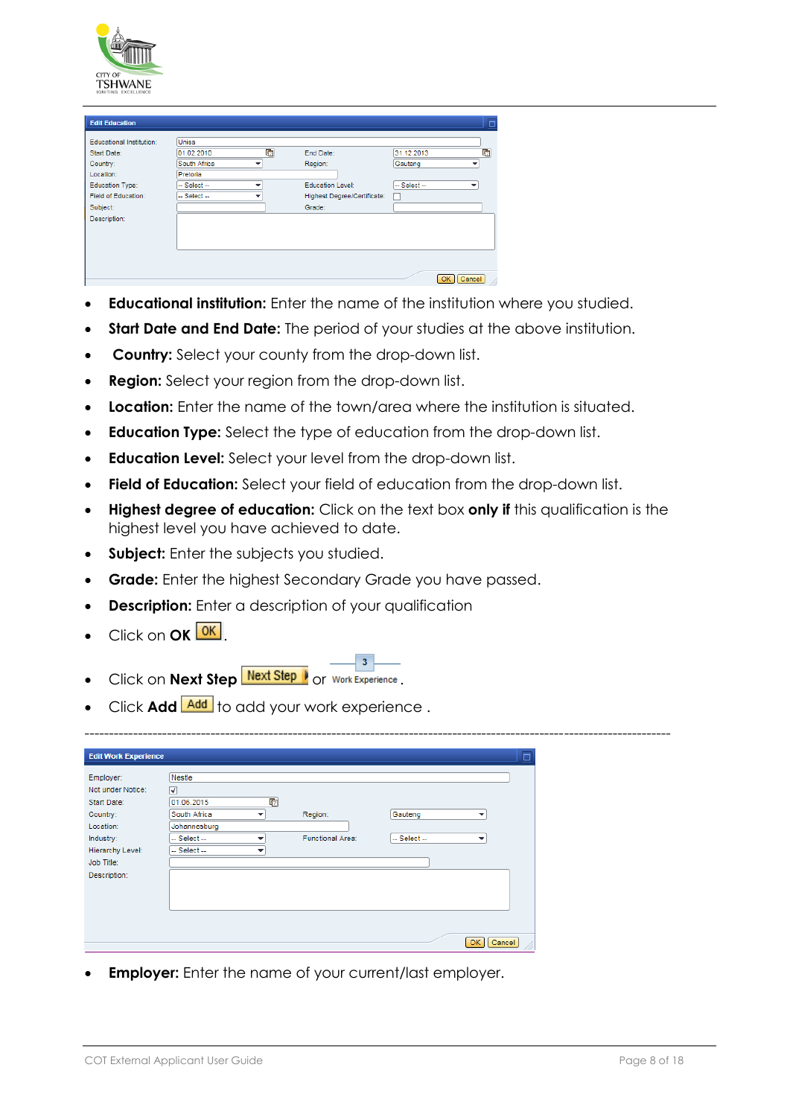

| <b>Edit Education</b>           |                |              |                             | Е                                   |
|---------------------------------|----------------|--------------|-----------------------------|-------------------------------------|
| <b>Educational Institution:</b> | Unisa          |              |                             |                                     |
| Start Date:                     | 01.02.2010     | $\mathbb{F}$ | End Date:                   | 中<br>31.12.2013                     |
| Country:                        | South Africa   |              | Region:                     | Gauteng<br>$\overline{\phantom{a}}$ |
| Location:                       | Pretoria       |              |                             |                                     |
| Education Type:                 | $-$ Select $-$ |              | Education Level:            | $-$ Select $-$<br>▼                 |
| Field of Education:             | $-$ Select $-$ | ÷            | Highest Degree/Certificate: |                                     |
| Subject:                        |                |              | Grade:                      |                                     |
| Description:                    |                |              |                             |                                     |
|                                 |                |              |                             |                                     |
|                                 |                |              |                             |                                     |
|                                 |                |              |                             |                                     |
|                                 |                |              |                             |                                     |
|                                 |                |              |                             |                                     |
|                                 |                |              |                             | OK<br>Cancel                        |

- **Educational institution:** Enter the name of the institution where you studied.
- **Start Date and End Date:** The period of your studies at the above institution.
- **Country:** Select your county from the drop-down list.
- **Region:** Select your region from the drop-down list.
- **Location:** Enter the name of the town/area where the institution is situated.
- **Education Type:** Select the type of education from the drop-down list.
- **Education Level:** Select your level from the drop-down list.
- **Field of Education:** Select your field of education from the drop-down list.
- **Highest degree of education:** Click on the text box **only if** this qualification is the highest level you have achieved to date.

 $\overline{\mathbf{3}}$ 

- **Subject:** Enter the subjects you studied.
- **Grade:** Enter the highest Secondary Grade you have passed.
- **Description:** Enter a description of your qualification
- Click on **OK** <sup>OK</sup>.
- Click on **Next Step Next Step or** Work Experience.
- Click **Add** Add to add your work experience.

| <b>Edit Work Experience</b> |                         |                          |                  |                                          | Ξ |
|-----------------------------|-------------------------|--------------------------|------------------|------------------------------------------|---|
|                             |                         |                          |                  |                                          |   |
| Employer:                   | Nestle                  |                          |                  |                                          |   |
| Not under Notice:           | $\overline{\checkmark}$ |                          |                  |                                          |   |
| Start Date:                 | 01.06.2015              | 面                        |                  |                                          |   |
| Country:                    | South Africa            | $\overline{\phantom{a}}$ | Region:          | Gauteng<br>$\overline{\phantom{a}}$      |   |
| Location:                   | Johannesburg            |                          |                  |                                          |   |
| Industry:                   | $-$ Select $-$          | ٠                        | Functional Area: | -- Select --<br>$\overline{\phantom{a}}$ |   |
| Hierarchy Level:            | $-$ Select $-$          | ٠                        |                  |                                          |   |
| Job Title:                  |                         |                          |                  |                                          |   |
| Description:                |                         |                          |                  |                                          |   |
|                             |                         |                          |                  |                                          |   |
|                             |                         |                          |                  |                                          |   |
|                             |                         |                          |                  |                                          |   |
|                             |                         |                          |                  |                                          |   |
|                             |                         |                          |                  |                                          |   |
|                             |                         |                          |                  | OK Cancel                                |   |

**Employer:** Enter the name of your current/last employer.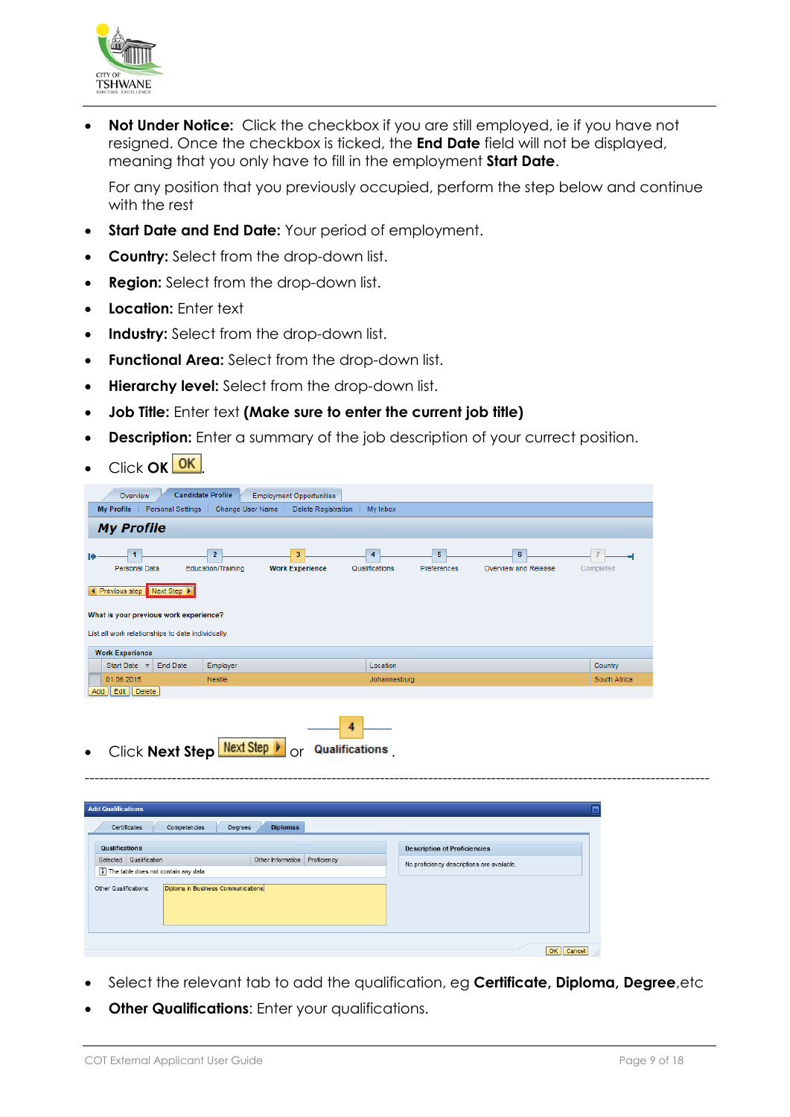

 **Not Under Notice:** Click the checkbox if you are still employed, ie if you have not resigned. Once the checkbox is ticked, the **End Date** field will not be displayed, meaning that you only have to fill in the employment **Start Date**.

For any position that you previously occupied, perform the step below and continue with the rest

- **Start Date and End Date:** Your period of employment.
- **Country:** Select from the drop-down list.
- **Region:** Select from the drop-down list.
- **Location:** Enter text
- **Industry:** Select from the drop-down list.
- **Functional Area:** Select from the drop-down list.
- **Hierarchy level:** Select from the drop-down list.
- **Job Title:** Enter text **(Make sure to enter the current job title)**
- **Description:** Enter a summary of the job description of your currect position.
- Click **OK OK**

| <b>My Profile</b>      | Overview                                          | <b>Candidate Profile</b> | Personal Settings   Change User Name | <b>Employment Opportunities</b><br>Delete Registration | My Inbox                         |                               |                           |              |
|------------------------|---------------------------------------------------|--------------------------|--------------------------------------|--------------------------------------------------------|----------------------------------|-------------------------------|---------------------------|--------------|
|                        | <b>My Profile</b>                                 |                          |                                      |                                                        |                                  |                               |                           |              |
| п                      | Personal Data                                     |                          | $\overline{2}$<br>Education/Training | $\overline{\mathbf{3}}$<br><b>Work Experience</b>      | $\overline{4}$<br>Qualifications | $\overline{5}$<br>Preferences | 6<br>Overview and Release | Completed    |
|                        | ◀ Previous step Next Step ▶                       |                          |                                      |                                                        |                                  |                               |                           |              |
|                        | What is your previous work experience?            |                          |                                      |                                                        |                                  |                               |                           |              |
|                        | List all work relationships to date individually. |                          |                                      |                                                        |                                  |                               |                           |              |
| <b>Work Experience</b> |                                                   |                          |                                      |                                                        |                                  |                               |                           |              |
|                        | Start Date $\mp$                                  | End Date                 | Employer                             |                                                        | Location                         |                               |                           | Country      |
| 01.06.2015             |                                                   |                          | Nestle                               |                                                        | Johannesburg                     |                               |                           | South Africa |
| Add   Edit   Delete    |                                                   |                          |                                      |                                                        |                                  |                               |                           |              |
|                        |                                                   |                          |                                      |                                                        |                                  |                               |                           |              |
|                        |                                                   |                          |                                      |                                                        |                                  |                               |                           |              |

Click **Next Step Next Step >** or Qualifications

| <b>Add Qualifications</b>                                   |                                  |                                            | o      |
|-------------------------------------------------------------|----------------------------------|--------------------------------------------|--------|
| Certificates<br>Competencies<br>Degrees                     | <b>Diplomas</b>                  |                                            |        |
| Qualifications                                              |                                  | <b>Description of Proficiencies</b>        |        |
| Qualification<br>Selected                                   | Other Information<br>Proficiency | No proficiency descriptions are available. |        |
| i The table does not contain any data                       |                                  |                                            |        |
| Diploma in Business Communications<br>Other Qualifications: |                                  |                                            |        |
|                                                             |                                  | OK                                         | Cancel |

Select the relevant tab to add the qualification, eg **Certificate, Diploma, Degree**,etc

---------------------------------------------------------------------------------------------------------------------------------

**Other Qualifications:** Enter your qualifications.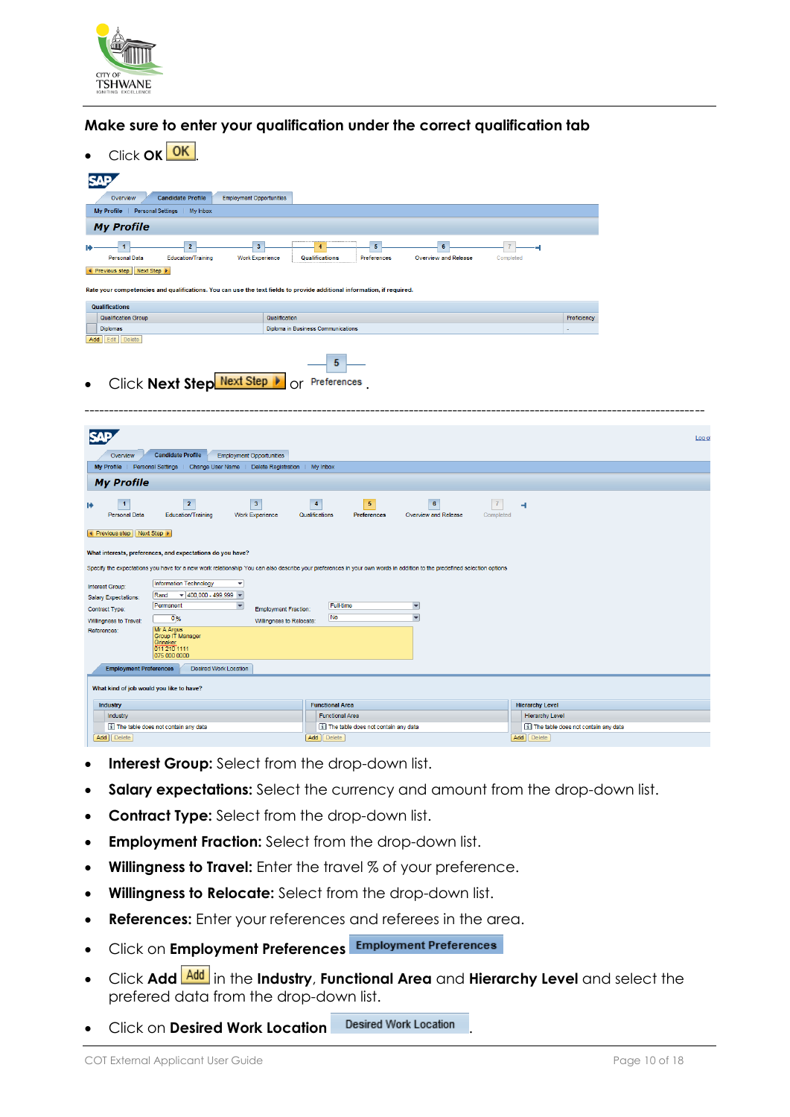

### **Make sure to enter your qualification under the correct qualification tab**

| Click OK OK                                                                                                                                                            |                                                                           |                                                   |
|------------------------------------------------------------------------------------------------------------------------------------------------------------------------|---------------------------------------------------------------------------|---------------------------------------------------|
| SÆ                                                                                                                                                                     |                                                                           |                                                   |
| Overview<br><b>Candidate Profile</b><br><b>Employment Opportunities</b>                                                                                                |                                                                           |                                                   |
| My Profile   Personal Settings   My Inbox                                                                                                                              |                                                                           |                                                   |
| <b>My Profile</b>                                                                                                                                                      |                                                                           |                                                   |
|                                                                                                                                                                        |                                                                           |                                                   |
| $\blacktriangleleft$<br>$\overline{\mathbf{3}}$<br>$\overline{2}$                                                                                                      | 5 <sup>5</sup><br>$6\phantom{1}6$<br>4                                    | $\overline{7}$                                    |
| <b>Personal Data</b><br><b>Education/Training</b><br><b>Work Experience</b>                                                                                            | <b>Qualifications</b><br>Preferences<br>Overview and Release              | Completed                                         |
| ◀ Previous step Next Step ▶                                                                                                                                            |                                                                           |                                                   |
| Rate your competencies and qualifications. You can use the text fields to provide additional information, if required.                                                 |                                                                           |                                                   |
| <b>Qualifications</b>                                                                                                                                                  |                                                                           |                                                   |
| Qualification Group<br>Qualification                                                                                                                                   |                                                                           | Proficiency                                       |
| <b>Diplomas</b>                                                                                                                                                        | Diploma in Business Communications                                        | L.                                                |
| Add Edit Delete                                                                                                                                                        |                                                                           |                                                   |
|                                                                                                                                                                        |                                                                           |                                                   |
|                                                                                                                                                                        |                                                                           |                                                   |
| Click Next Step Next Step ▶<br>$\bullet$                                                                                                                               | Or Preferences                                                            |                                                   |
|                                                                                                                                                                        |                                                                           |                                                   |
|                                                                                                                                                                        |                                                                           |                                                   |
|                                                                                                                                                                        |                                                                           |                                                   |
|                                                                                                                                                                        |                                                                           | Log of                                            |
|                                                                                                                                                                        |                                                                           |                                                   |
|                                                                                                                                                                        |                                                                           |                                                   |
| <b>Candidate Profile</b><br>Overview<br><b>Employment Opportunities</b>                                                                                                |                                                                           |                                                   |
| My Profile   Personal Settings   Change User Name<br><b>Delete Registration</b>                                                                                        | My Inbox                                                                  |                                                   |
| <b>My Profile</b>                                                                                                                                                      |                                                                           |                                                   |
| $\overline{2}$<br>$\overline{1}$<br>$\overline{\mathbf{3}}$                                                                                                            | $\overline{4}$<br>5 <sub>5</sub><br>$6\phantom{.}6$<br>7 <sup>7</sup>     |                                                   |
| <b>Personal Data</b><br>Education/Training<br>Work Experience                                                                                                          | Qualifications<br><b>Preferences</b><br>Overview and Release<br>Completed | ٠                                                 |
|                                                                                                                                                                        |                                                                           |                                                   |
| ◀ Previous step   Next Step ▶                                                                                                                                          |                                                                           |                                                   |
| What interests, preferences, and expectations do you have?                                                                                                             |                                                                           |                                                   |
| Specify the expectations you have for a new work relationship You can also describe your preferences in your own words in addition to the predefined selection options |                                                                           |                                                   |
| <b>Information Technology</b><br>٠                                                                                                                                     |                                                                           |                                                   |
| Interest Group:<br>$\blacktriangledown$ 400,000 - 499,999 $\blacktriangledown$<br>Rand                                                                                 |                                                                           |                                                   |
| <b>Salary Expectations:</b><br>Permanent<br>$\overline{\phantom{a}}$                                                                                                   | Full-time<br>$\overline{\phantom{a}}$                                     |                                                   |
| <b>Employment Fraction:</b><br>Contract Type:<br>$0\%$<br>Willingness to Travel:<br>Willingness to Relocate:                                                           | ▼<br>No                                                                   |                                                   |
| Mr A Argus<br>References:                                                                                                                                              |                                                                           |                                                   |
| Group IT Manager<br><b>Grinaker</b>                                                                                                                                    |                                                                           |                                                   |
| 011 210 1111<br>075 000 0000                                                                                                                                           |                                                                           |                                                   |
| <b>Desired Work Location</b><br><b>Employment Preferences</b>                                                                                                          |                                                                           |                                                   |
| What kind of job would you like to have?                                                                                                                               |                                                                           |                                                   |
| Industry                                                                                                                                                               | <b>Functional Area</b>                                                    | <b>Hierarchy Level</b>                            |
| Industry                                                                                                                                                               | <b>Functional Area</b>                                                    | <b>Hierarchy Level</b>                            |
| The table does not contain any data<br>Add Delete                                                                                                                      | The table does not contain any data<br>Add Delete                         | The table does not contain any data<br>Add Delete |

- **Interest Group:** Select from the drop-down list.
- **Salary expectations:** Select the currency and amount from the drop-down list.
- **Contract Type:** Select from the drop-down list.
- **Employment Fraction:** Select from the drop-down list.
- **Willingness to Travel:** Enter the travel % of your preference.
- **Willingness to Relocate:** Select from the drop-down list.
- **References:** Enter your references and referees in the area.
- Click on **Employment Preferences**
- Click **Add** in the **Industry**, **Functional Area** and **Hierarchy Level** and select the prefered data from the drop-down list.
- **•** Click on **Desired Work Location** Desired Work Location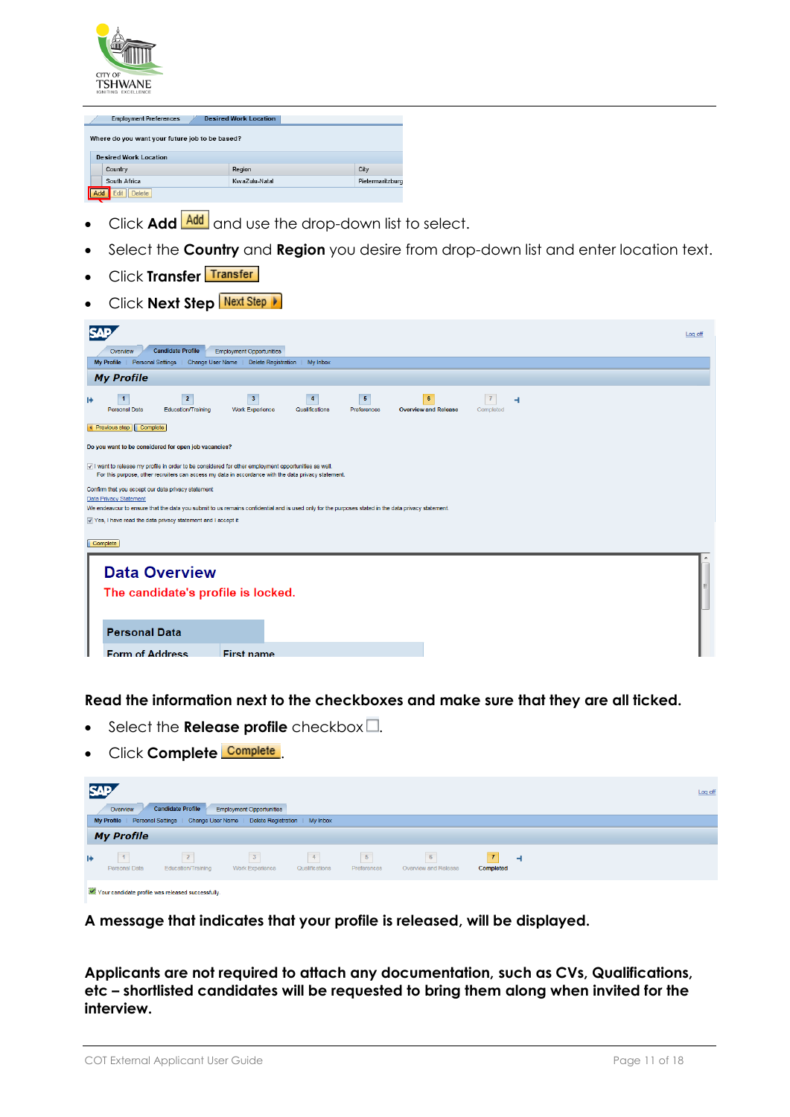

| <b>Employment Preferences</b>                  | <b>Desired Work Location</b> |                  |  |  |  |  |  |
|------------------------------------------------|------------------------------|------------------|--|--|--|--|--|
| Where do you want your future job to be based? |                              |                  |  |  |  |  |  |
| <b>Desired Work Location</b>                   |                              |                  |  |  |  |  |  |
| Country                                        | Region                       | City             |  |  |  |  |  |
| South Africa                                   | KwaZulu-Natal                | Pietermaritzburg |  |  |  |  |  |
| <b>Delete</b><br>Edit                          |                              |                  |  |  |  |  |  |

- Click **Add Add** and use the drop-down list to select.
- Select the **Country** and **Region** you desire from drop-down list and enter location text.
- Click **Transfer**
- **Click Next Step Next Step 1**

| SΛ<br>Log off                                                                                                                                                                                                                                                      |  |
|--------------------------------------------------------------------------------------------------------------------------------------------------------------------------------------------------------------------------------------------------------------------|--|
| <b>Candidate Profile</b><br><b>Employment Opportunities</b><br>Overview                                                                                                                                                                                            |  |
| Personal Settings   Change User Name  <br><b>My Profile</b><br>Delete Registration<br>My Inbox                                                                                                                                                                     |  |
| <b>My Profile</b>                                                                                                                                                                                                                                                  |  |
| $\overline{2}$<br>$\overline{\mathbf{3}}$<br>5 <sup>5</sup><br>$\overline{4}$<br>6 <sup>°</sup><br>$\mathbf{1}$<br>ᆟ<br>Personal Data<br>Education/Training<br><b>Work Experience</b><br>Qualifications<br>Preferences<br><b>Overview and Release</b><br>Completed |  |
| ◀ Previous step   Complete                                                                                                                                                                                                                                         |  |
| Do you want to be considered for open job vacancies?                                                                                                                                                                                                               |  |
| √ I want to release my profile in order to be considered for other employment opportunities as well.<br>For this purpose, other recruiters can access my data in accordance with the data privacy statement.                                                       |  |
| Confirm that you accept our data privacy statement<br><b>Data Privacy Statement</b><br>We endeavour to ensure that the data you submit to us remains confidential and is used only for the purposes stated in the data privacy statement.                          |  |
| Ves, I have read the data privacy statement and I accept it                                                                                                                                                                                                        |  |
|                                                                                                                                                                                                                                                                    |  |
| Complete                                                                                                                                                                                                                                                           |  |
| <b>Data Overview</b>                                                                                                                                                                                                                                               |  |
| The candidate's profile is locked.                                                                                                                                                                                                                                 |  |
|                                                                                                                                                                                                                                                                    |  |
| <b>Personal Data</b>                                                                                                                                                                                                                                               |  |
| <b>Form of Address</b><br><b>First name</b>                                                                                                                                                                                                                        |  |

**Read the information next to the checkboxes and make sure that they are all ticked.**

- $\bullet$  Select the **Release profile** checkbox  $\Box$ .
- **•** Click **Complete Complete**

|   | Overview                                                                                                 | <b>Candidate Profile</b> | <b>Employment Opportunities</b> |                     |                     |                           |                | Log off |  |
|---|----------------------------------------------------------------------------------------------------------|--------------------------|---------------------------------|---------------------|---------------------|---------------------------|----------------|---------|--|
|   | Personal Settings   Change User Name   Delete Registration   My Inbox<br>My Profile<br><b>My Profile</b> |                          |                                 |                     |                     |                           |                |         |  |
| ₩ | Personal Data                                                                                            | Education/Training       | Work Experience                 | 4<br>Qualifications | $-5$<br>Preferences | 6<br>Overview and Release | ᅴ<br>Completed |         |  |

W: Your candidate profile was released successfully.

**A message that indicates that your profile is released, will be displayed.**

**Applicants are not required to attach any documentation, such as CVs, Qualifications, etc – shortlisted candidates will be requested to bring them along when invited for the interview.**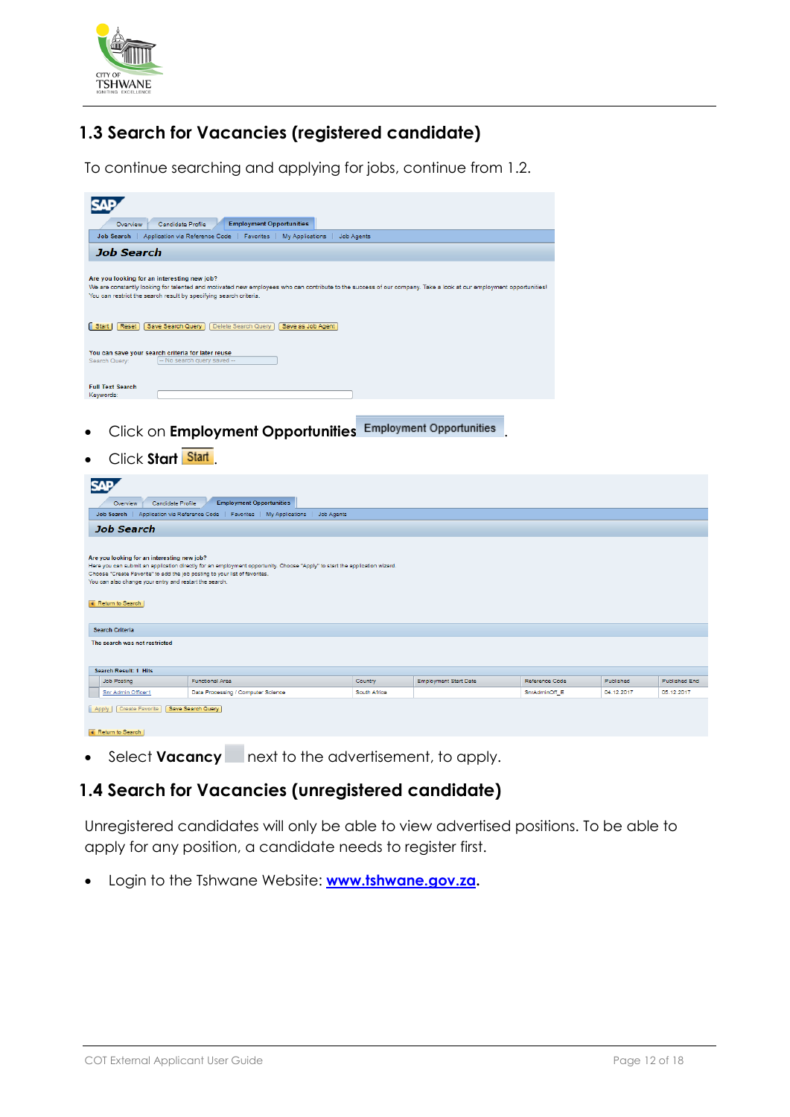

# **1.3 Search for Vacancies (registered candidate)**

To continue searching and applying for jobs, continue from 1.2.

| <b>Employment Opportunities</b><br>Candidate Profile<br>Overview                                                                                                                                                                                                                      |
|---------------------------------------------------------------------------------------------------------------------------------------------------------------------------------------------------------------------------------------------------------------------------------------|
| Job Search   Application via Reference Code   Favorites  <br>My Applications<br><b>Job Agents</b>                                                                                                                                                                                     |
| <b>Job Search</b>                                                                                                                                                                                                                                                                     |
| Are you looking for an interesting new job?<br>We are constantly looking for talented and motivated new employees who can contribute to the success of our company. Take a look at our employment opportunities!<br>You can restrict the search result by specifying search criteria. |
| Start<br>Save Search Query<br>Delete Search Query<br>Save as Job Agent<br>Reset                                                                                                                                                                                                       |
| You can save your search criteria for later reuse                                                                                                                                                                                                                                     |
| -- No search query saved --<br>Search Query:                                                                                                                                                                                                                                          |
| <b>Full Text Search</b><br>Keywords:                                                                                                                                                                                                                                                  |
|                                                                                                                                                                                                                                                                                       |

- **•** Click on **Employment Opportunities** Employment Opportunities
- Click Start **Start**

| <b>Employment Opportunities</b><br>Candidate Profile<br>Overview<br>Application via Reference Code   Favorites   My Applications  <br>Job Agents<br>Job Search                                                                                                                                                                        |                                                                                                                       |         |                              |                |           |               |  |  |
|---------------------------------------------------------------------------------------------------------------------------------------------------------------------------------------------------------------------------------------------------------------------------------------------------------------------------------------|-----------------------------------------------------------------------------------------------------------------------|---------|------------------------------|----------------|-----------|---------------|--|--|
| <b>Job Search</b>                                                                                                                                                                                                                                                                                                                     |                                                                                                                       |         |                              |                |           |               |  |  |
| Are you looking for an interesting new job?<br>Here you can submit an application directly for an employment opportunity. Choose "Apply" to start the application wizard.<br>Choose "Create Favorite" to add the job posting to your list of favorites.<br>You can also change your entry and restart the search.<br>Return to Search |                                                                                                                       |         |                              |                |           |               |  |  |
| <b>Search Criteria</b>                                                                                                                                                                                                                                                                                                                |                                                                                                                       |         |                              |                |           |               |  |  |
| The search was not restricted                                                                                                                                                                                                                                                                                                         |                                                                                                                       |         |                              |                |           |               |  |  |
| Search Result: 1 Hits                                                                                                                                                                                                                                                                                                                 |                                                                                                                       |         |                              | Reference Code |           |               |  |  |
| Job Posting                                                                                                                                                                                                                                                                                                                           | <b>Functional Area</b>                                                                                                | Country | <b>Employment Start Date</b> |                | Published | Published End |  |  |
|                                                                                                                                                                                                                                                                                                                                       | Data Processing / Computer Science<br>South Africa<br>SnrAdminOff E<br>04.12.2017<br>Snr Admin Officer1<br>05.12.2017 |         |                              |                |           |               |  |  |
| Save Search Query<br><b>Create Favorite</b><br>Apply<br>Return to Search                                                                                                                                                                                                                                                              |                                                                                                                       |         |                              |                |           |               |  |  |

Select **Vacancy** next to the advertisement, to apply.

## **1.4 Search for Vacancies (unregistered candidate)**

Unregistered candidates will only be able to view advertised positions. To be able to apply for any position, a candidate needs to register first.

Login to the Tshwane Website: **[www.tshwane.gov.za.](http://www.tshwane.gov.za/)**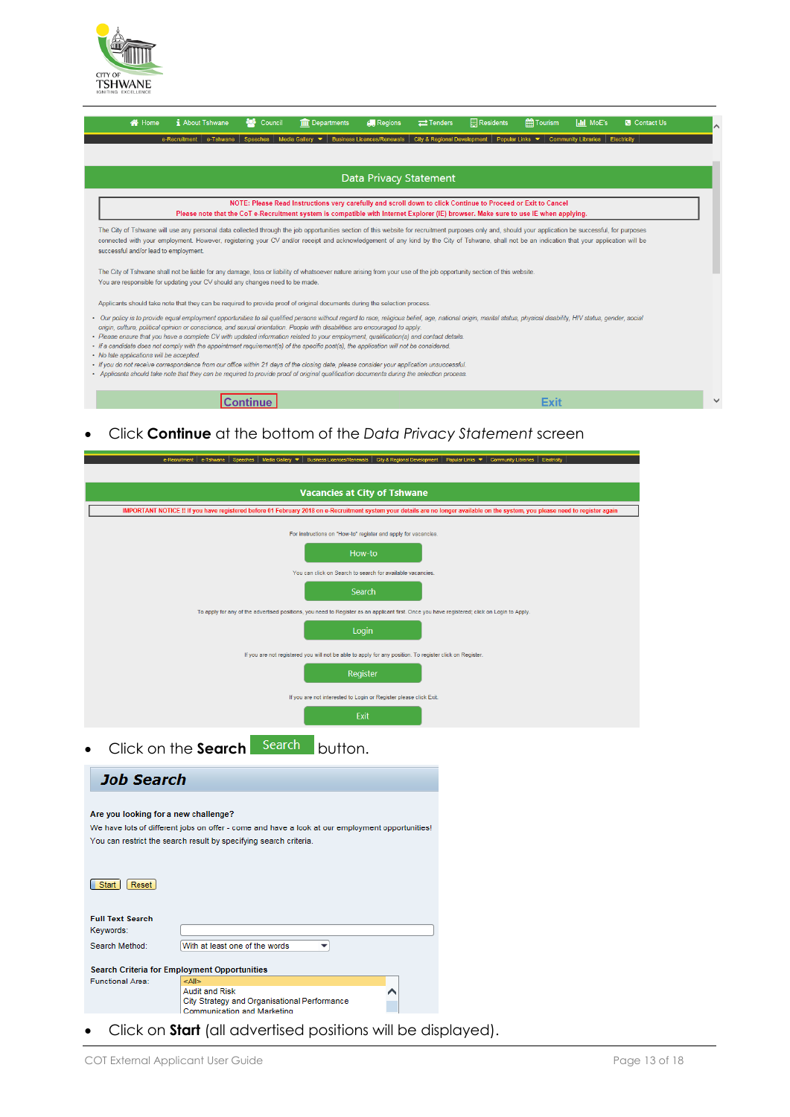

| Residents<br>About Tshwane<br><b>G</b> Contact Us<br><b>N</b> Home<br><b>Regions</b><br><b>Hill</b> Tourism<br><b>III</b> MoE's<br><b>THE</b> Departments<br>$\rightleftarrows$ Tenders<br>Council<br>pо                                                                                                                                                                                                                                                                                                                                                                                                                                                                                                                                                                                                                                                                                                                                                                    | ∧ |  |  |  |  |  |  |
|-----------------------------------------------------------------------------------------------------------------------------------------------------------------------------------------------------------------------------------------------------------------------------------------------------------------------------------------------------------------------------------------------------------------------------------------------------------------------------------------------------------------------------------------------------------------------------------------------------------------------------------------------------------------------------------------------------------------------------------------------------------------------------------------------------------------------------------------------------------------------------------------------------------------------------------------------------------------------------|---|--|--|--|--|--|--|
| e-Tshwane<br><b>Business Licences/Renewals</b><br>City & Regional Development<br>Popular Links $\bullet$ Community Libraries<br>Electricity<br><b>Speeches</b><br>Media Gallery $\bullet$<br>e-Recruitment                                                                                                                                                                                                                                                                                                                                                                                                                                                                                                                                                                                                                                                                                                                                                                  |   |  |  |  |  |  |  |
|                                                                                                                                                                                                                                                                                                                                                                                                                                                                                                                                                                                                                                                                                                                                                                                                                                                                                                                                                                             |   |  |  |  |  |  |  |
| Data Privacy Statement                                                                                                                                                                                                                                                                                                                                                                                                                                                                                                                                                                                                                                                                                                                                                                                                                                                                                                                                                      |   |  |  |  |  |  |  |
| NOTE: Please Read Instructions very carefully and scroll down to click Continue to Proceed or Exit to Cancel<br>Please note that the CoT e-Recruitment system is compatible with Internet Explorer (IE) browser. Make sure to use IE when applying.                                                                                                                                                                                                                                                                                                                                                                                                                                                                                                                                                                                                                                                                                                                         |   |  |  |  |  |  |  |
| The City of Tshwane will use any personal data collected through the job opportunities section of this website for recruitment purposes only and, should your application be successful, for purposes<br>connected with your employment. However, registering your CV and/or receipt and acknowledgement of any kind by the City of Tshwane, shall not be an indication that your application will be<br>successful and/or lead to employment.                                                                                                                                                                                                                                                                                                                                                                                                                                                                                                                              |   |  |  |  |  |  |  |
| The City of Tshwane shall not be liable for any damage, loss or liability of whatsoever nature arising from your use of the job opportunity section of this website.<br>You are responsible for updating your CV should any changes need to be made.                                                                                                                                                                                                                                                                                                                                                                                                                                                                                                                                                                                                                                                                                                                        |   |  |  |  |  |  |  |
| Applicants should take note that they can be required to provide proof of original documents during the selection process.                                                                                                                                                                                                                                                                                                                                                                                                                                                                                                                                                                                                                                                                                                                                                                                                                                                  |   |  |  |  |  |  |  |
| · Our policy is to provide equal employment opportunities to all qualified persons without regard to race, religious belief, age, national origin, marital status, physical disability, HIV status, gender, social<br>origin, culture, political opinion or conscience, and sexual orientation. People with disabilities are encouraged to apply.<br>• Please ensure that you have a complete CV with updated information related to your employment, qualification(s) and contact details.<br>• If a candidate does not comply with the appointment requirement(s) of the specific post(s), the application will not be considered.<br>• No late applications will be accepted.<br>• If you do not receive correspondence from our office within 21 days of the closing date, please consider your application unsuccessful.<br>• Applicants should take note that they can be required to provide proof of original qualification documents during the selection process. |   |  |  |  |  |  |  |
| Exit                                                                                                                                                                                                                                                                                                                                                                                                                                                                                                                                                                                                                                                                                                                                                                                                                                                                                                                                                                        |   |  |  |  |  |  |  |

### Click **Continue** at the bottom of the *Data Privacy Statement* screen



| Reset<br><b>Start</b>   |                                                     |  |
|-------------------------|-----------------------------------------------------|--|
| <b>Full Text Search</b> |                                                     |  |
| Keywords:               |                                                     |  |
| Search Method:          | With at least one of the words                      |  |
|                         |                                                     |  |
|                         | <b>Search Criteria for Employment Opportunities</b> |  |
| <b>Functional Area:</b> | <all></all>                                         |  |
|                         | <b>Audit and Risk</b>                               |  |
|                         | City Strategy and Organisational Performance        |  |
|                         | <b>Communication and Marketing</b>                  |  |

Click on **Start** (all advertised positions will be displayed).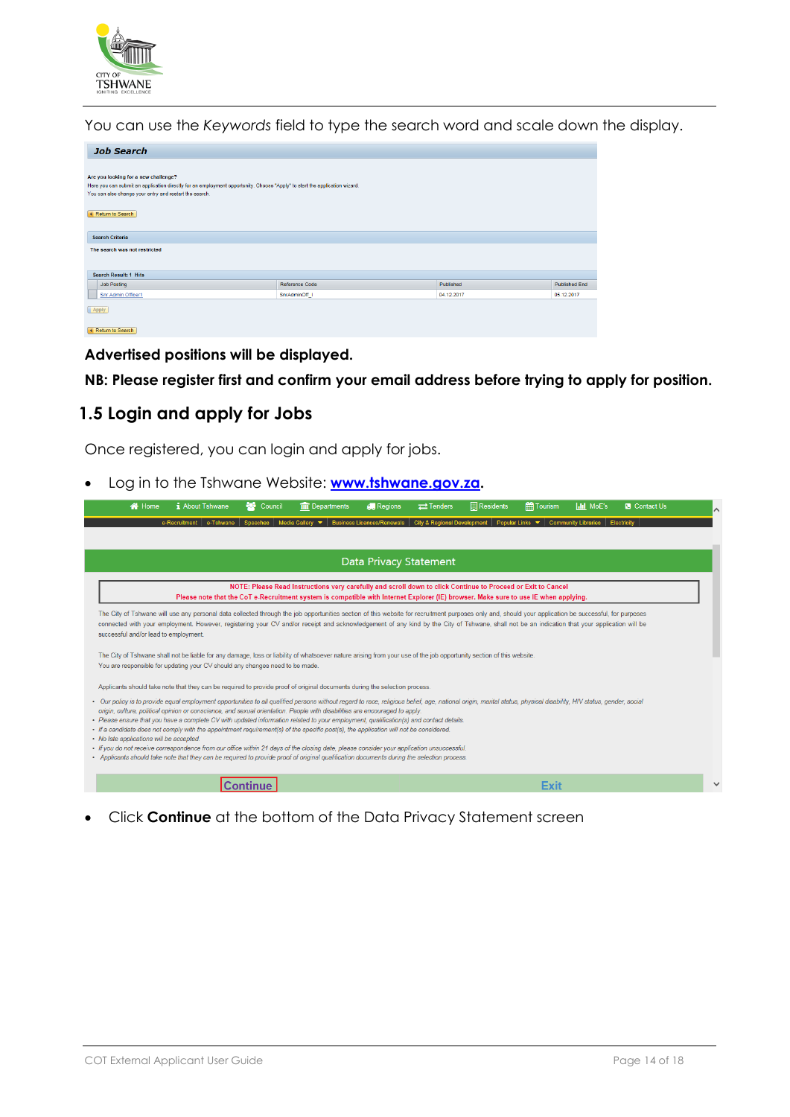

You can use the *Keywords* field to type the search word and scale down the display.

| <b>Job Search</b>                                                                                                                                                                                                            |                |            |                      |  |  |  |  |
|------------------------------------------------------------------------------------------------------------------------------------------------------------------------------------------------------------------------------|----------------|------------|----------------------|--|--|--|--|
| Are you looking for a new challenge?<br>Here you can submit an application directly for an employment opportunity. Choose "Apply" to start the application wizard.<br>You can also change your entry and restart the search. |                |            |                      |  |  |  |  |
| Return to Search                                                                                                                                                                                                             |                |            |                      |  |  |  |  |
| <b>Search Criteria</b>                                                                                                                                                                                                       |                |            |                      |  |  |  |  |
| The search was not restricted                                                                                                                                                                                                |                |            |                      |  |  |  |  |
|                                                                                                                                                                                                                              |                |            |                      |  |  |  |  |
| <b>Search Result: 1 Hits</b>                                                                                                                                                                                                 |                |            |                      |  |  |  |  |
| Job Posting                                                                                                                                                                                                                  | Reference Code | Published  | <b>Published End</b> |  |  |  |  |
| Snr Admin Officer1                                                                                                                                                                                                           | SnrAdminOff_I  | 04.12.2017 | 05.12.2017           |  |  |  |  |
| Apply                                                                                                                                                                                                                        |                |            |                      |  |  |  |  |

Return to Search

**Advertised positions will be displayed.**

**NB: Please register first and confirm your email address before trying to apply for position.**

### **1.5 Login and apply for Jobs**

Once registered, you can login and apply for jobs.

Log in to the Tshwane Website: **[www.tshwane.gov.za.](http://www.tshwane.gov.za/)** 

| <b>谷</b> Home                                                                                                                                                                                                                                                                                                                                                                                                                                                                                                                                                                                                                                                                    | <i>i</i> About Tshwane                                                                                                                                                                                                                                                                  | as.<br>Council | <b>THE</b> Departments                                                                                                                                                                                                                              | <b>Regions</b>         | $\rightleftarrows$ Tenders  | Residents | <b>Hill</b> Tourism                         | <b>III</b> MoE's | <b>G</b> Contact Us |              |  |
|----------------------------------------------------------------------------------------------------------------------------------------------------------------------------------------------------------------------------------------------------------------------------------------------------------------------------------------------------------------------------------------------------------------------------------------------------------------------------------------------------------------------------------------------------------------------------------------------------------------------------------------------------------------------------------|-----------------------------------------------------------------------------------------------------------------------------------------------------------------------------------------------------------------------------------------------------------------------------------------|----------------|-----------------------------------------------------------------------------------------------------------------------------------------------------------------------------------------------------------------------------------------------------|------------------------|-----------------------------|-----------|---------------------------------------------|------------------|---------------------|--------------|--|
|                                                                                                                                                                                                                                                                                                                                                                                                                                                                                                                                                                                                                                                                                  | e-Recruitment e-Tshwane                                                                                                                                                                                                                                                                 | Speeches       | Media Gallery $\bullet$ Business Licences/Renewals                                                                                                                                                                                                  |                        | City & Regional Development |           | Popular Links $\bullet$ Community Libraries |                  | Electricity         |              |  |
|                                                                                                                                                                                                                                                                                                                                                                                                                                                                                                                                                                                                                                                                                  |                                                                                                                                                                                                                                                                                         |                |                                                                                                                                                                                                                                                     |                        |                             |           |                                             |                  |                     |              |  |
|                                                                                                                                                                                                                                                                                                                                                                                                                                                                                                                                                                                                                                                                                  |                                                                                                                                                                                                                                                                                         |                |                                                                                                                                                                                                                                                     | Data Privacy Statement |                             |           |                                             |                  |                     |              |  |
|                                                                                                                                                                                                                                                                                                                                                                                                                                                                                                                                                                                                                                                                                  |                                                                                                                                                                                                                                                                                         |                | NOTE: Please Read Instructions very carefully and scroll down to click Continue to Proceed or Exit to Cancel<br>Please note that the CoT e-Recruitment system is compatible with Internet Explorer (IE) browser. Make sure to use IE when applying. |                        |                             |           |                                             |                  |                     |              |  |
| The City of Tshwane will use any personal data collected through the job opportunities section of this website for recruitment purposes only and, should your application be successful, for purposes<br>connected with your employment. However, registering your CV and/or receipt and acknowledgement of any kind by the City of Tshwane, shall not be an indication that your application will be<br>successful and/or lead to employment.                                                                                                                                                                                                                                   |                                                                                                                                                                                                                                                                                         |                |                                                                                                                                                                                                                                                     |                        |                             |           |                                             |                  |                     |              |  |
|                                                                                                                                                                                                                                                                                                                                                                                                                                                                                                                                                                                                                                                                                  | The City of Tshwane shall not be liable for any damage, loss or liability of whatsoever nature arising from your use of the job opportunity section of this website.<br>You are responsible for updating your CV should any changes need to be made.                                    |                |                                                                                                                                                                                                                                                     |                        |                             |           |                                             |                  |                     |              |  |
|                                                                                                                                                                                                                                                                                                                                                                                                                                                                                                                                                                                                                                                                                  | Applicants should take note that they can be required to provide proof of original documents during the selection process.                                                                                                                                                              |                |                                                                                                                                                                                                                                                     |                        |                             |           |                                             |                  |                     |              |  |
| · Our policy is to provide equal employment opportunities to all qualified persons without regard to race, religious belief, age, national origin, marital status, physical disability, HIV status, gender, social<br>origin, culture, political opinion or conscience, and sexual orientation. People with disabilities are encouraged to apply.<br>• Please ensure that you have a complete CV with updated information related to your employment, qualification(s) and contact details.<br>• If a candidate does not comply with the appointment requirement(s) of the specific post(s), the application will not be considered.<br>• No late applications will be accepted. |                                                                                                                                                                                                                                                                                         |                |                                                                                                                                                                                                                                                     |                        |                             |           |                                             |                  |                     |              |  |
|                                                                                                                                                                                                                                                                                                                                                                                                                                                                                                                                                                                                                                                                                  | • If you do not receive correspondence from our office within 21 days of the closing date, please consider your application unsuccessful.<br>• Applicants should take note that they can be required to provide proof of original qualification documents during the selection process. |                |                                                                                                                                                                                                                                                     |                        |                             |           |                                             |                  |                     |              |  |
|                                                                                                                                                                                                                                                                                                                                                                                                                                                                                                                                                                                                                                                                                  |                                                                                                                                                                                                                                                                                         |                |                                                                                                                                                                                                                                                     |                        |                             |           |                                             |                  |                     |              |  |
|                                                                                                                                                                                                                                                                                                                                                                                                                                                                                                                                                                                                                                                                                  |                                                                                                                                                                                                                                                                                         |                |                                                                                                                                                                                                                                                     |                        |                             |           | Exit                                        |                  |                     | $\checkmark$ |  |

Click **Continue** at the bottom of the Data Privacy Statement screen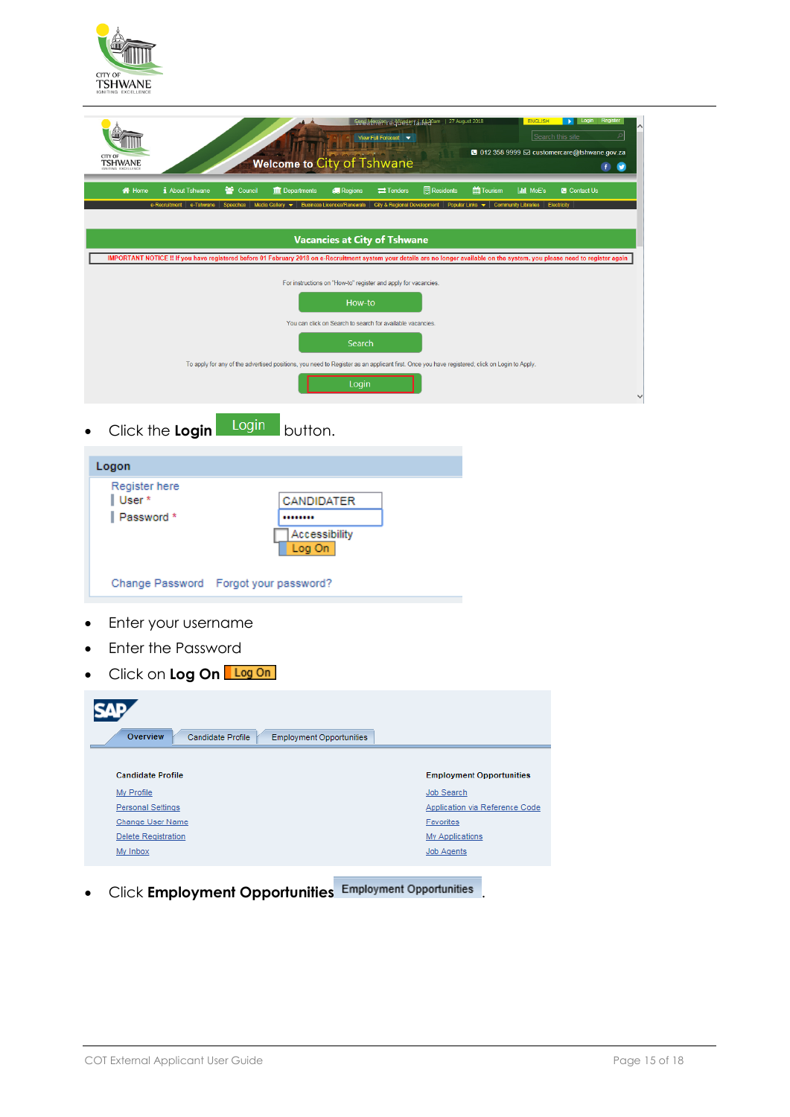

| CITY OI<br><b>TSHWANE</b>                                                                                                                                                        |                          | Welcome to City of Tshwane                                                                                                                   | 肌肌                                                                   | View Full Forecast v       | FAME at PYPPPT ed (1985) of all Region 127 August 2018 |                                 | <b>ENGLISH</b>   | Login Register<br>- Pil<br>Search this site<br>3 012 358 9999 ⊡ customercare@tshwane.gov.za<br>$\left  \cdot \right $ |
|----------------------------------------------------------------------------------------------------------------------------------------------------------------------------------|--------------------------|----------------------------------------------------------------------------------------------------------------------------------------------|----------------------------------------------------------------------|----------------------------|--------------------------------------------------------|---------------------------------|------------------|-----------------------------------------------------------------------------------------------------------------------|
| <b>俗</b> Home<br><i>i</i> About Tshwane                                                                                                                                          | 월 Council                | <b>III</b> Departments                                                                                                                       | <b>GU</b> Regions                                                    | $\rightleftarrows$ Tenders | <b>Residents</b><br>Pop                                | <b>M</b> Tourism<br>-Cc         | <b>III</b> MoE's | <b>G</b> Contact Us                                                                                                   |
|                                                                                                                                                                                  |                          |                                                                                                                                              | <b>Vacancies at City of Tshwane</b>                                  |                            |                                                        |                                 |                  |                                                                                                                       |
| IMPORTANT NOTICE !! If you have registered before 01 February 2018 on e-Recruitment system your details are no longer available on the system, you please need to register again |                          |                                                                                                                                              | For instructions on "How-to" register and apply for vacancies.       |                            |                                                        |                                 |                  |                                                                                                                       |
|                                                                                                                                                                                  |                          |                                                                                                                                              | How-to                                                               |                            |                                                        |                                 |                  |                                                                                                                       |
|                                                                                                                                                                                  |                          |                                                                                                                                              | You can click on Search to search for available vacancies.<br>Search |                            |                                                        |                                 |                  |                                                                                                                       |
|                                                                                                                                                                                  |                          | To apply for any of the advertised positions, you need to Register as an applicant first. Once you have registered; click on Login to Apply. |                                                                      |                            |                                                        |                                 |                  |                                                                                                                       |
|                                                                                                                                                                                  |                          |                                                                                                                                              | Login                                                                |                            |                                                        |                                 |                  |                                                                                                                       |
| Click the Login                                                                                                                                                                  | Login                    | button.                                                                                                                                      |                                                                      |                            |                                                        |                                 |                  |                                                                                                                       |
| Logon                                                                                                                                                                            |                          |                                                                                                                                              |                                                                      |                            |                                                        |                                 |                  |                                                                                                                       |
| Register here<br>User*                                                                                                                                                           |                          | CANDIDATER                                                                                                                                   |                                                                      |                            |                                                        |                                 |                  |                                                                                                                       |
| Password *                                                                                                                                                                       |                          | <br>Accessibility<br>Log Onl                                                                                                                 |                                                                      |                            |                                                        |                                 |                  |                                                                                                                       |
| Change Password Forgot your password?                                                                                                                                            |                          |                                                                                                                                              |                                                                      |                            |                                                        |                                 |                  |                                                                                                                       |
| Enter your username                                                                                                                                                              |                          |                                                                                                                                              |                                                                      |                            |                                                        |                                 |                  |                                                                                                                       |
| <b>Enter the Password</b>                                                                                                                                                        |                          |                                                                                                                                              |                                                                      |                            |                                                        |                                 |                  |                                                                                                                       |
| Click on Log On Log On                                                                                                                                                           |                          |                                                                                                                                              |                                                                      |                            |                                                        |                                 |                  |                                                                                                                       |
| <b>AD</b>                                                                                                                                                                        |                          |                                                                                                                                              |                                                                      |                            |                                                        |                                 |                  |                                                                                                                       |
| Overview                                                                                                                                                                         | <b>Candidate Profile</b> | <b>Employment Opportunities</b>                                                                                                              |                                                                      |                            |                                                        |                                 |                  |                                                                                                                       |
| <b>Candidate Profile</b>                                                                                                                                                         |                          |                                                                                                                                              |                                                                      |                            |                                                        | <b>Employment Opportunities</b> |                  |                                                                                                                       |
| My Profile<br><b>Personal Settings</b>                                                                                                                                           |                          |                                                                                                                                              |                                                                      |                            | Job Search                                             | Application via Reference Code  |                  |                                                                                                                       |
| <b>Change User Name</b><br>Delete Registration                                                                                                                                   |                          |                                                                                                                                              |                                                                      |                            | Favorites<br><b>My Applications</b>                    |                                 |                  |                                                                                                                       |
| My Inbox                                                                                                                                                                         |                          |                                                                                                                                              |                                                                      |                            | <b>Job Agents</b>                                      |                                 |                  |                                                                                                                       |
| <b>Click Employment Opportunities</b>                                                                                                                                            |                          |                                                                                                                                              |                                                                      |                            | <b>Employment Opportunities</b>                        |                                 |                  |                                                                                                                       |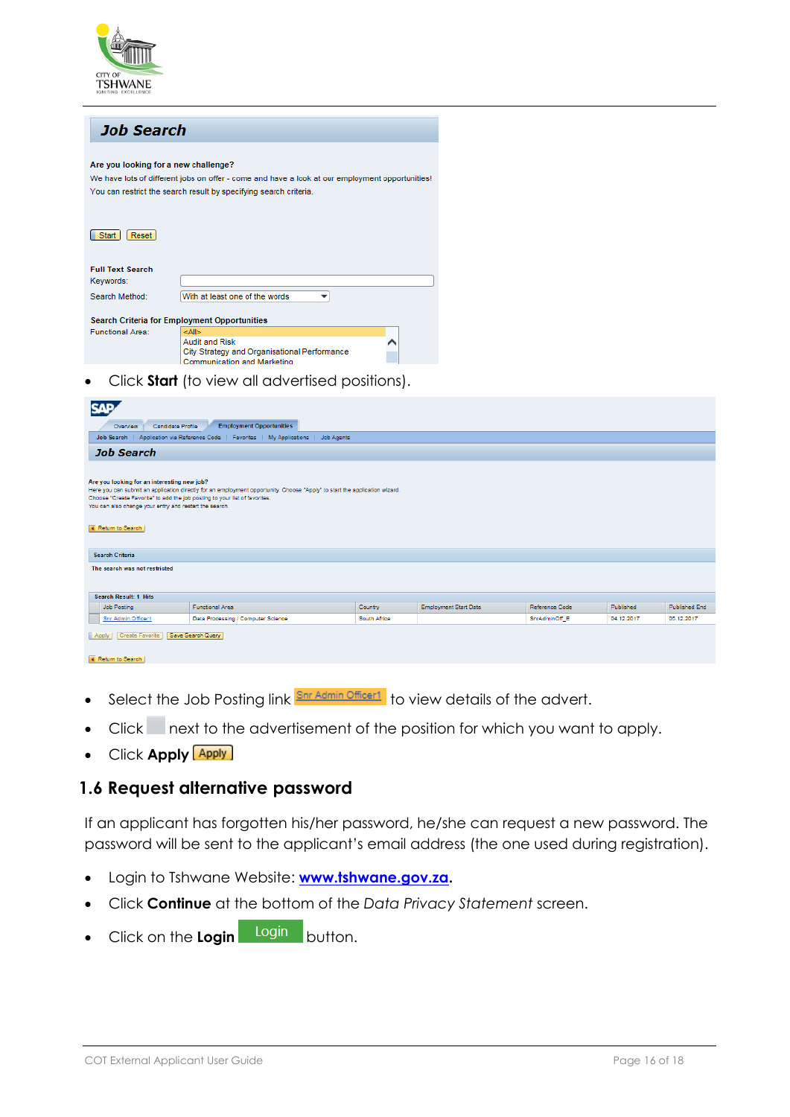

### **Job Search**

#### Are you looking for a new challenge?

We have lots of different jobs on offer - come and have a look at our employment opportunities! You can restrict the search result by specifying search criteria.

| Start<br>Reset                                      |                                              |  |
|-----------------------------------------------------|----------------------------------------------|--|
| <b>Full Text Search</b>                             |                                              |  |
| Keywords:                                           |                                              |  |
| Search Method:                                      | With at least one of the words               |  |
| <b>Search Criteria for Employment Opportunities</b> |                                              |  |
| <b>Functional Area:</b>                             | <all></all>                                  |  |
|                                                     | <b>Audit and Risk</b>                        |  |
|                                                     | City Strategy and Organisational Performance |  |
|                                                     | Communication and Marketing                  |  |

Click **Start** (to view all advertised positions).

| <b>Employment Opportunities</b><br>Candidate Profile<br>Overview<br>Application via Reference Code   Favorites   My Applications   Job Agents<br>Job Search                                                                                                                                                                           |                                    |              |                              |                |            |               |  |  |
|---------------------------------------------------------------------------------------------------------------------------------------------------------------------------------------------------------------------------------------------------------------------------------------------------------------------------------------|------------------------------------|--------------|------------------------------|----------------|------------|---------------|--|--|
| <b>Job Search</b>                                                                                                                                                                                                                                                                                                                     |                                    |              |                              |                |            |               |  |  |
| Are you looking for an interesting new job?<br>Here you can submit an application directly for an employment opportunity. Choose "Apply" to start the application wizard.<br>Choose "Create Favorite" to add the job posting to your list of favorites.<br>You can also change your entry and restart the search.<br>Return to Search |                                    |              |                              |                |            |               |  |  |
| <b>Search Criteria</b>                                                                                                                                                                                                                                                                                                                |                                    |              |                              |                |            |               |  |  |
| The search was not restricted                                                                                                                                                                                                                                                                                                         |                                    |              |                              |                |            |               |  |  |
| <b>Search Result: 1 Hits</b>                                                                                                                                                                                                                                                                                                          |                                    |              |                              |                |            |               |  |  |
| Job Posting                                                                                                                                                                                                                                                                                                                           | <b>Functional Area</b>             | Country      | <b>Employment Start Date</b> | Reference Code | Published  | Published End |  |  |
| Snr Admin Officer1                                                                                                                                                                                                                                                                                                                    | Data Processing / Computer Science | South Africa |                              | SnrAdminOff E  | 04.12.2017 | 05.12.2017    |  |  |
| Save Search Query<br>Create Favorite<br>Apply<br><b>Carl Photography Concerted</b>                                                                                                                                                                                                                                                    |                                    |              |                              |                |            |               |  |  |

#### Return to Se

- Select the Job Posting link **Shr Admin Officer1** to view details of the advert.
- Click next to the advertisement of the position for which you want to apply.
- Click **Apply**

## **1.6 Request alternative password**

If an applicant has forgotten his/her password, he/she can request a new password. The password will be sent to the applicant's email address (the one used during registration).

- Login to Tshwane Website: **[www.tshwane.gov.za.](http://www.tshwane.gov.za/)**
- Click **Continue** at the bottom of the *Data Privacy Statement* screen.
- Click on the **Login** Login button.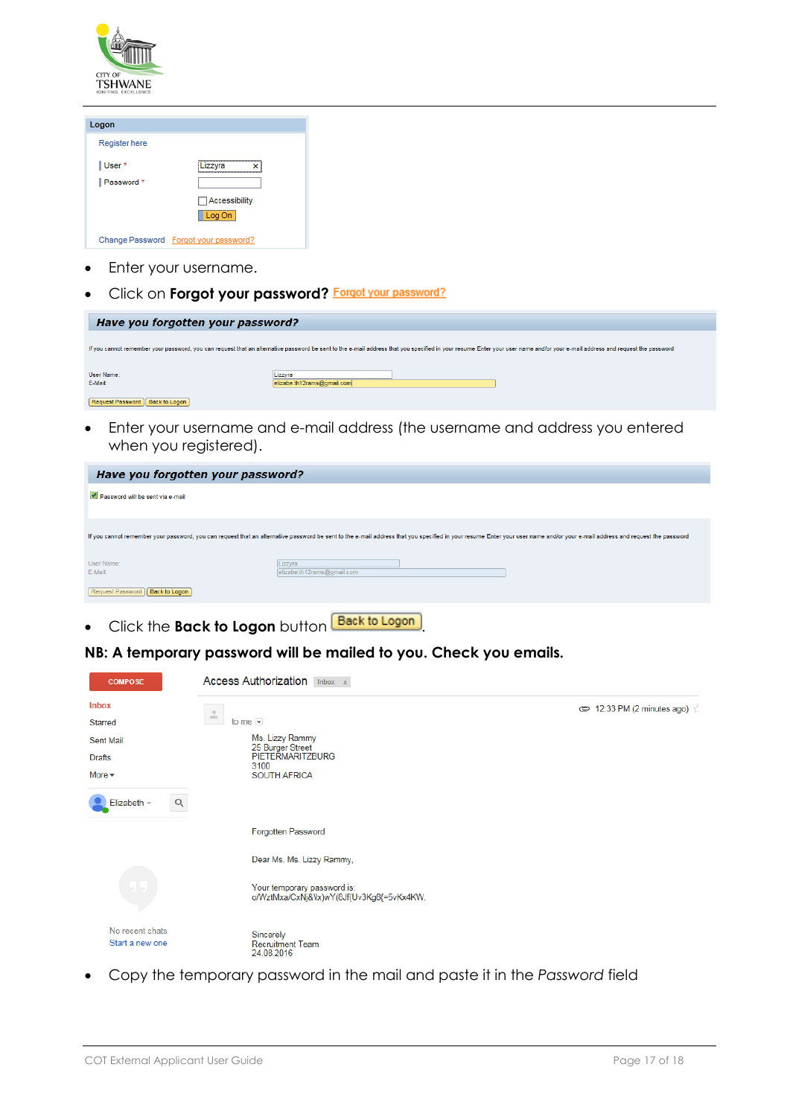

| Logon         |                                       |
|---------------|---------------------------------------|
| Register here |                                       |
| User*         | Lizzyra<br>×                          |
| Password *    |                                       |
|               | □ Accessibility                       |
|               | Log On                                |
|               | Change Password Forgot your password? |

- Enter your username.
- **•** Click on **Forgot your password?** Forgot your password?

| Have you forgotten your password?                                                                                                                                                                                           |                            |  |  |  |
|-----------------------------------------------------------------------------------------------------------------------------------------------------------------------------------------------------------------------------|----------------------------|--|--|--|
| If you cannot remember your password, you can request that an alternative password be sent to the e-mail address that you specified in your resume Enter your user name and/or your e-mail address and request the password |                            |  |  |  |
| User Name:                                                                                                                                                                                                                  | Lizzyra                    |  |  |  |
| E-Mail:<br>Request Password   Back to Logon                                                                                                                                                                                 | elizabe.th12rams@gmail.com |  |  |  |

 Enter your username and e-mail address (the username and address you entered when you registered).

| Have you forgotten your password?                                                                                                                                                                                           |                                       |  |  |  |
|-----------------------------------------------------------------------------------------------------------------------------------------------------------------------------------------------------------------------------|---------------------------------------|--|--|--|
| Password will be sent via e-mail                                                                                                                                                                                            |                                       |  |  |  |
|                                                                                                                                                                                                                             |                                       |  |  |  |
| If you cannot remember your password, you can request that an alternative password be sent to the e-mail address that you specified in your resume Enter your user name and/or your e-mail address and request the password |                                       |  |  |  |
| User Name:<br>E-Mail:                                                                                                                                                                                                       | Lizzyra<br>elizabe.th12rams@gmail.com |  |  |  |
| <b>Request Password</b><br><b>Back to Logon</b>                                                                                                                                                                             |                                       |  |  |  |

**•** Click the **Back to Logon** button **Back to Logon** 

**NB: A temporary password will be mailed to you. Check you emails.**

| <b>COMPOSE</b>                     | <b>Access Authorization</b> Inbox x                                      |
|------------------------------------|--------------------------------------------------------------------------|
| <b>Inbox</b>                       | $\equiv$ 12:33 PM (2 minutes ago) $\frac{1}{2}$<br>$\qquad \qquad \Box$  |
| Starred                            | $\frac{1}{2}$<br>to me $\vert \mathbf{v} \vert$                          |
| Sent Mail                          | Ms. Lizzy Rammy                                                          |
| Drafts                             | 25 Burger Street<br>PIETERMARITZBURG                                     |
| More $\sim$                        | 3100<br><b>SOUTH AFRICA</b>                                              |
| Q<br>Elizabeth -                   |                                                                          |
|                                    | Forgotten Password                                                       |
|                                    | Dear Ms. Ms. Lizzy Rammy,                                                |
| 99                                 | Your temporary password is:<br>o/WztMxa/CxNj&\lx)wY(8Jf(Uv3Kg8{=5vKx4KW. |
| No recent chats<br>Start a new one | Sincerely<br><b>Recruitment Team</b><br>24.08.2016                       |

Copy the temporary password in the mail and paste it in the *Password* field